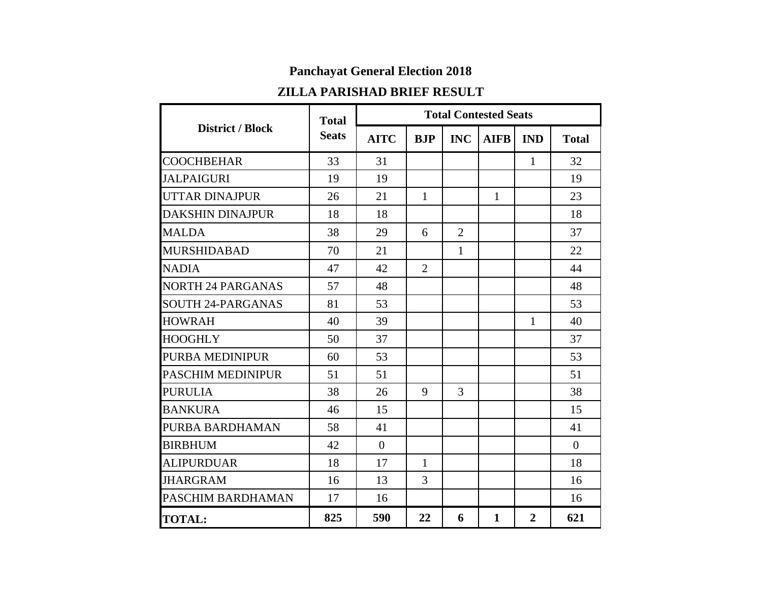## **Panchayat General Election 2018**

## **ZILLA PARISHAD BRIEF RESULT**

|                          | <b>Total</b> | <b>Total Contested Seats</b> |                |                |              |                |                |  |  |
|--------------------------|--------------|------------------------------|----------------|----------------|--------------|----------------|----------------|--|--|
| <b>District / Block</b>  | <b>Seats</b> | <b>AITC</b>                  | <b>BJP</b>     | <b>INC</b>     | <b>AIFB</b>  | <b>IND</b>     | <b>Total</b>   |  |  |
| <b>COOCHBEHAR</b>        | 33           | 31                           |                |                |              | $\mathbf{1}$   | 32             |  |  |
| <b>JALPAIGURI</b>        | 19           | 19                           |                |                |              |                | 19             |  |  |
| <b>UTTAR DINAJPUR</b>    | 26           | 21                           | $\mathbf{1}$   |                | $\mathbf{1}$ |                | 23             |  |  |
| <b>DAKSHIN DINAJPUR</b>  | 18           | 18                           |                |                |              |                | 18             |  |  |
| <b>MALDA</b>             | 38           | 29                           | 6              | $\overline{2}$ |              |                | 37             |  |  |
| <b>MURSHIDABAD</b>       | 70           | 21                           |                | $\mathbf{1}$   |              |                | 22             |  |  |
| <b>NADIA</b>             | 47           | 42                           | $\overline{2}$ |                |              |                | 44             |  |  |
| <b>NORTH 24 PARGANAS</b> | 57           | 48                           |                |                |              |                | 48             |  |  |
| <b>SOUTH 24-PARGANAS</b> | 81           | 53                           |                |                |              |                | 53             |  |  |
| <b>HOWRAH</b>            | 40           | 39                           |                |                |              | $\mathbf{1}$   | 40             |  |  |
| <b>HOOGHLY</b>           | 50           | 37                           |                |                |              |                | 37             |  |  |
| PURBA MEDINIPUR          | 60           | 53                           |                |                |              |                | 53             |  |  |
| <b>PASCHIM MEDINIPUR</b> | 51           | 51                           |                |                |              |                | 51             |  |  |
| <b>PURULIA</b>           | 38           | 26                           | 9              | 3              |              |                | 38             |  |  |
| <b>BANKURA</b>           | 46           | 15                           |                |                |              |                | 15             |  |  |
| PURBA BARDHAMAN          | 58           | 41                           |                |                |              |                | 41             |  |  |
| <b>BIRBHUM</b>           | 42           | $\overline{0}$               |                |                |              |                | $\overline{0}$ |  |  |
| <b>ALIPURDUAR</b>        | 18           | 17                           | $\mathbf{1}$   |                |              |                | 18             |  |  |
| <b>JHARGRAM</b>          | 16           | 13                           | 3              |                |              |                | 16             |  |  |
| PASCHIM BARDHAMAN        | 17           | 16                           |                |                |              |                | 16             |  |  |
| <b>TOTAL:</b>            | 825          | 590                          | 22             | 6              | $\mathbf{1}$ | $\overline{2}$ | 621            |  |  |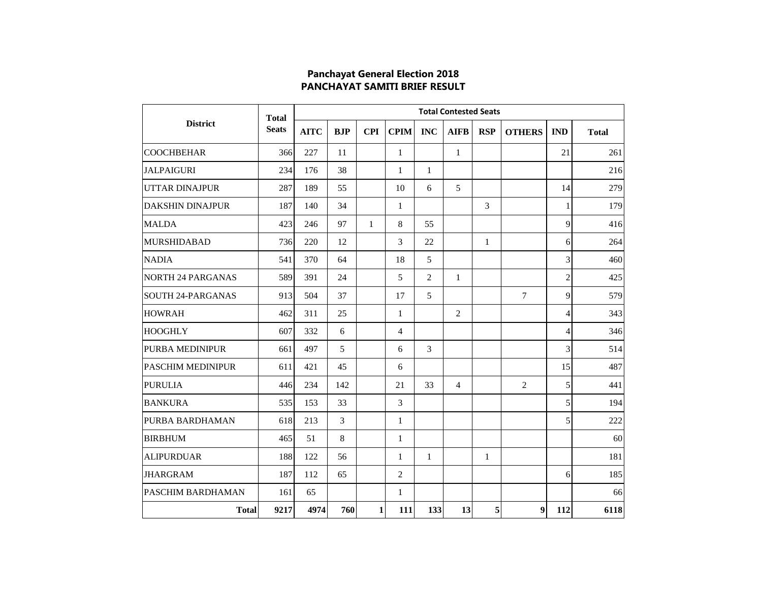## **Panchayat General Election 2018 PANCHAYAT SAMITI BRIEF RESULT**

| <b>District</b>          | <b>Total</b><br><b>Seats</b> | <b>Total Contested Seats</b> |                |              |                |                |                |              |                |                |              |  |
|--------------------------|------------------------------|------------------------------|----------------|--------------|----------------|----------------|----------------|--------------|----------------|----------------|--------------|--|
|                          |                              | <b>AITC</b>                  | <b>BJP</b>     | <b>CPI</b>   | <b>CPIM</b>    | <b>INC</b>     | <b>AIFB</b>    | <b>RSP</b>   | <b>OTHERS</b>  | <b>IND</b>     | <b>Total</b> |  |
| <b>COOCHBEHAR</b>        | 366                          | 227                          | 11             |              | $\mathbf{1}$   |                | $\mathbf{1}$   |              |                | 21             | 261          |  |
| <b>JALPAIGURI</b>        | 234                          | 176                          | 38             |              | 1              | $\mathbf{1}$   |                |              |                |                | 216          |  |
| <b>UTTAR DINAJPUR</b>    | 287                          | 189                          | 55             |              | 10             | 6              | 5              |              |                | 14             | 279          |  |
| <b>DAKSHIN DINAJPUR</b>  | 187                          | 140                          | 34             |              | $\mathbf{1}$   |                |                | 3            |                | 1              | 179          |  |
| <b>MALDA</b>             | 423                          | 246                          | 97             | $\mathbf{1}$ | 8              | 55             |                |              |                | 9              | 416          |  |
| <b>MURSHIDABAD</b>       | 736                          | 220                          | 12             |              | 3              | 22             |                | $\mathbf{1}$ |                | 6              | 264          |  |
| <b>NADIA</b>             | 541                          | 370                          | 64             |              | 18             | 5              |                |              |                | 3              | 460          |  |
| <b>NORTH 24 PARGANAS</b> | 589                          | 391                          | 24             |              | 5              | $\overline{2}$ | $\mathbf{1}$   |              |                | $\overline{c}$ | 425          |  |
| ISOUTH 24-PARGANAS       | 913                          | 504                          | 37             |              | 17             | 5              |                |              | $\tau$         | 9              | 579          |  |
| <b>HOWRAH</b>            | 462                          | 311                          | 25             |              | $\mathbf{1}$   |                | 2              |              |                | 4              | 343          |  |
| <b>HOOGHLY</b>           | 607                          | 332                          | 6              |              | $\overline{4}$ |                |                |              |                | $\overline{4}$ | 346          |  |
| <b>PURBA MEDINIPUR</b>   | 661                          | 497                          | 5              |              | 6              | $\overline{3}$ |                |              |                | 3              | 514          |  |
| PASCHIM MEDINIPUR        | 611                          | 421                          | 45             |              | 6              |                |                |              |                | 15             | 487          |  |
| <b>PURULIA</b>           | 446                          | 234                          | 142            |              | 21             | 33             | $\overline{4}$ |              | $\overline{2}$ | 5              | 441          |  |
| <b>BANKURA</b>           | 535                          | 153                          | 33             |              | 3              |                |                |              |                | 5              | 194          |  |
| PURBA BARDHAMAN          | 618                          | 213                          | $\overline{3}$ |              | $\mathbf{1}$   |                |                |              |                | 5              | 222          |  |
| <b>BIRBHUM</b>           | 465                          | 51                           | 8              |              | $\mathbf{1}$   |                |                |              |                |                | 60           |  |
| <b>ALIPURDUAR</b>        | 188                          | 122                          | 56             |              | $\mathbf{1}$   | $\mathbf{1}$   |                | $\mathbf{1}$ |                |                | 181          |  |
| <b>JHARGRAM</b>          | 187                          | 112                          | 65             |              | $\mathbf{2}$   |                |                |              |                | 6              | 185          |  |
| <b>PASCHIM BARDHAMAN</b> | 161                          | 65                           |                |              | $\mathbf{1}$   |                |                |              |                |                | 66           |  |
| <b>Total</b>             | 9217                         | 4974                         | 760            | 1            | 111            | 133            | 13             | 5            | 9              | 112            | 6118         |  |